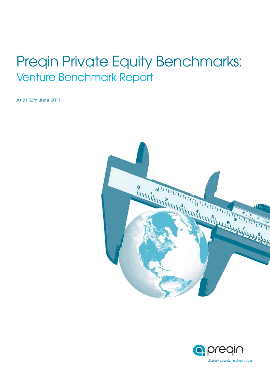# Preqin Private Equity Benchmarks: Venture Benchmark Report

As of 30th June 2011



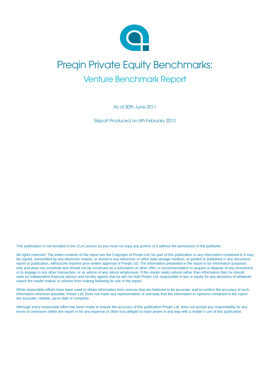

# Preqin Private Equity Benchmarks: Venture Benchmark Report

As of 30th June 2011

Report Produced on 6th February 2012

This publication is not included in the CLA Licence so you must not copy any portion of it without the permission of the publisher.

All rights reserved. The entire contents of the report are the Copyright of Preqin Ltd. No part of this publication or any information contained in it may be copied, transmitted by any electronic means, or stored in any electronic or other data storage medium, or printed or published in any document, report or publication, without the express prior written approval of Preqin Ltd. The information presented in the report is for information purposes only and does not constitute and should not be construed as a solicitation or other offer, or recommendation to acquire or dispose of any investment or to engage in any other transaction, or as advice of any nature whatsoever. If the reader seeks advice rather than information then he should seek an independent financial advisor and hereby agrees that he will not hold Pregin Ltd. responsible in law or equity for any decisions of whatever nature the reader makes or refrains from making following its use of the report.

While reasonable efforts have been used to obtain information from sources that are believed to be accurate, and to confirm the accuracy of such information wherever possible, Preqin Ltd. Does not make any representation or warranty that the information or opinions contained in the report are accurate, reliable, up-to-date or complete.

Although every reasonable effort has been made to ensure the accuracy of this publication Preqin Ltd. does not accept any responsibility for any errors or omissions within the report or for any expense or other loss alleged to have arisen in any way with a reader's use of this publication.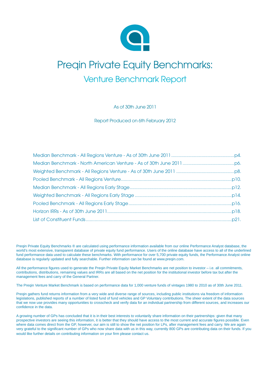

# Preqin Private Equity Benchmarks: Venture Benchmark Report

As of 30th June 2011

Report Produced on 6th February 2012

Preqin Private Equity Benchmarks ® are calculated using performance information available from our online Performance Analyst database, the world's most extensive, transparent database of private equity fund performance. Users of the online database have access to all of the underlined fund performance data used to calculate these benchmarks. With performance for over 5,700 private equity funds, the Performance Analyst online database is regularly updated and fully searchable. Further information can be found at www.preqin.com.

All the performance figures used to generate the Preqin Private Equity Market Benchmarks are net position to investor – i.e. all commitments, contributions, distributions, remaining values and IRRs are all based on the net position for the institutional investor before tax but after the management fees and carry of the General Partner.

The Preqin Venture Market Benchmark is based on performance data for 1,000 venture funds of vintages 1980 to 2010 as of 30th June 2011.

Preqin gathers fund returns information from a very wide and diverse range of sources, including public institutions via freedom of information legislations, published reports of a number of listed fund of fund vehicles and GP Voluntary contributions. The sheer extent of the data sources that we now use provides many opportunities to crosscheck and verify data for an individual partnership from different sources, and increases our confidence in the data.

A growing number of GPs has concluded that it is in their best interests to voluntarily share information on their partnerships: given that many prospective investors are seeing this information, it is better that they should have access to the most current and accurate figures possible. Even where data comes direct from the GP, however, our aim is still to show the net position for LPs, after management fees and carry. We are again very grateful to the significant number of GPs who now share data with us in this way, currently 800 GPs are contributing data on their funds. If you would like further details on contributing information on your firm please contact us.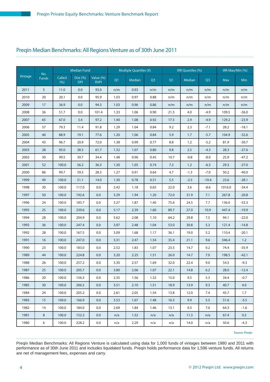#### Preqin Median Benchmarks: All Regions Venture as of 30th June 2011

|         |                     |                | <b>Median Fund</b>     |                          |      | <b>Mutliple Quartiles (X)</b> |                |                | <b>IRR Quartiles (%)</b> |                |            | IRR Max/Min (%) |
|---------|---------------------|----------------|------------------------|--------------------------|------|-------------------------------|----------------|----------------|--------------------------|----------------|------------|-----------------|
| Vintage | No.<br><b>Funds</b> | Called<br>(% ) | Dist (%)<br><b>DPI</b> | Value (%)<br><b>RVPI</b> | Q1   | Median                        | Q <sub>3</sub> | Q <sub>1</sub> | Median                   | Q <sub>3</sub> | <b>Max</b> | <b>Min</b>      |
| 2011    | 5                   | 11.0           | 0.0                    | 93.0                     | n/m  | 0.93                          | n/m            | n/m            | n/m                      | n/m            | n/m        | n/m             |
| 2010    | 20                  | 20.1           | 0.0                    | 95.9                     | 1.03 | 0.97                          | 0.88           | n/m            | n/m                      | n/m            | n/m        | n/m             |
| 2009    | 17                  | 36.9           | 0.0                    | 94.3                     | 1.03 | 0.96                          | 0.86           | n/m            | n/m                      | n/m            | n/m        | n/m             |
| 2008    | 36                  | 51.7           | 0.0                    | 101.4                    | 1.33 | 1.06                          | 0.90           | 21.5           | 4.0                      | $-4.9$         | 109.5      | $-36.0$         |
| 2007    | 65                  | 67.0           | 3.4                    | 97.2                     | 1.40 | 1.08                          | 0.92           | 17.5           | 2.9                      | $-4.9$         | 129.2      | $-23.9$         |
| 2006    | 57                  | 79.3           | 11.4                   | 91.8                     | 1.29 | 1.04                          | 0.84           | 9.2            | 2.3                      | $-7.1$         | 28.2       | $-18.1$         |
| 2005    | 40                  | 88.9           | 19.1                   | 77.6                     | 1.20 | 1.06                          | 0.84           | 5.9            | 1.7                      | $-5.7$         | 104.9      | $-32.6$         |
| 2004    | 43                  | 96.7           | 20.9                   | 72.0                     | 1.38 | 0.99                          | 0.77           | 8.8            | 1.2                      | $-5.2$         | 81.9       | $-30.7$         |
| 2003    | 28                  | 95.0           | 38.3                   | 61.7                     | 1.32 | 1.07                          | 0.80           | 9.8            | 2.5                      | $-4.3$         | 28.3       | $-27.6$         |
| 2002    | 30                  | 99.5           | 39.7                   | 34.4                     | 1.48 | 0.96                          | 0.45           | 10.7           | $-0.8$                   | $-8.0$         | 25.9       | $-47.2$         |
| 2001    | 52                  | 100.0          | 56.2                   | 36.3                     | 1.30 | 1.05                          | 0.74           | 7.3            | 1.2                      | $-6.3$         | 29.3       | $-27.0$         |
| 2000    | 86                  | 99.7           | 59.3                   | 28.3                     | 1.27 | 0.91                          | 0.64           | 4.7            | $-1.3$                   | $-7.0$         | 50.2       | $-40.0$         |
| 1999    | 49                  | 100.0          | 51.1                   | 14.0                     | 1.30 | 0.78                          | 0.51           | 5.5            | $-2.5$                   | $-10.4$        | 23.6       | $-28.1$         |
| 1998    | 30                  | 100.0          | 117.0                  | 0.0                      | 2.42 | 1.18                          | 0.65           | 22.0           | 3.6                      | $-8.6$         | 1016.0     | $-34.4$         |
| 1997    | 50                  | 100.0          | 192.6                  | 0.0                      | 3.29 | 1.94                          | 1.20           | 72.0           | 31.9                     | 7.1            | 267.8      | $-20.8$         |
| 1996    | 24                  | 100.0          | 185.7                  | 0.0                      | 3.27 | 1.87                          | 1.40           | 75.6           | 24.5                     | 7.7            | 136.0      | $-33.3$         |
| 1995    | 25                  | 100.0          | 239.6                  | 0.0                      | 5.17 | 2.39                          | 1.60           | 89.7           | 27.0                     | 10.9           | 447.4      | $-19.9$         |
| 1994    | 28                  | 100.0          | 204.9                  | 0.0                      | 5.62 | 2.08                          | 1.10           | 64.2           | 29.8                     | 7.5            | 94.1       | $-22.0$         |
| 1993    | 36                  | 100.0          | 247.4                  | 0.0                      | 3.97 | 2.48                          | 1.04           | 53.0           | 30.8                     | 5.3            | 121.4      | $-14.8$         |
| 1992    | 28                  | 100.0          | 167.5                  | 0.0                      | 3.09 | 1.68                          | 1.17           | 36.1           | 19.0                     | 5.2            | 110.4      | $-20.1$         |
| 1991    | 16                  | 100.0          | 247.0                  | 0.0                      | 3.31 | 2.47                          | 1.54           | 35.4           | 21.1                     | 9.6            | 346.4      | 1.2             |
| 1990    | 23                  | 100.0          | 183.0                  | 0.0                      | 2.52 | 1.83                          | 1.07           | 23.5           | 14.7                     | 0.2            | 74.4       | $-35.9$         |
| 1989    | 44                  | 100.0          | 224.8                  | 0.0                      | 3.20 | 2.25                          | 1.51           | 26.0           | 14.7                     | 7.0            | 198.5      | $-42.1$         |
| 1988    | 26                  | 100.0          | 257.2                  | 0.0                      | 3.30 | 2.57                          | 1.69           | 32.0           | 22.4                     | 9.0            | 54.5       | $-9.3$          |
| 1987    | 25                  | 100.0          | 205.7                  | 0.0                      | 3.80 | 2.06                          | 1.07           | 22.1           | 14.8                     | 6.2            | 28.0       | $-12.4$         |
| 1986    | 20                  | 100.0          | 156.3                  | 0.0                      | 2.35 | 1.56                          | 1.32           | 15.0           | 9.5                      | 5.3            | 34.4       | $-0.7$          |
| 1985    | 30                  | 100.0          | 206.5                  | 0.0                      | 3.51 | 2.10                          | 1.51           | 18.9           | 13.9                     | 9.3            | 40.7       | 4.0             |
| 1984    | 24                  | 100.0          | 205.2                  | 0.0                      | 2.61 | 2.05                          | 1.54           | 13.8           | 12.0                     | 7.4            | 45.7       | 1.7             |
| 1983    | 15                  | 100.0          | 166.9                  | 0.0                      | 3.53 | 1.67                          | 1.48           | 16.3           | 9.9                      | 5.5            | 51.6       | $-3.5$          |
| 1982    | 14                  | 100.0          | 184.0                  | 0.0                      | 2.69 | 1.84                          | 1.46           | 13.1           | 9.3                      | 7.0            | 64.3       | $-1.6$          |
| 1981    | 8                   | 100.0          | 152.3                  | 0.0                      | n/a  | 1.52                          | n/a            | n/a            | 11.3                     | n/a            | 67.4       | 0.5             |
| 1980    | 6                   | 100.0          | 228.2                  | 0.0                      | n/a  | 2.29                          | n/a            | n/a            | 14.0                     | n/a            | 50.6       | $-4.3$          |

Source: Pregin

Preqin Median Benchmarks: All Regions Venture is calculated using data for 1,000 funds of vintages between 1980 and 2011 with performance as of 30th June 2011 and includes liquidated funds. Preqin holds performance data for 1,596 venture funds. All returns are net of management fees, expenses and carry.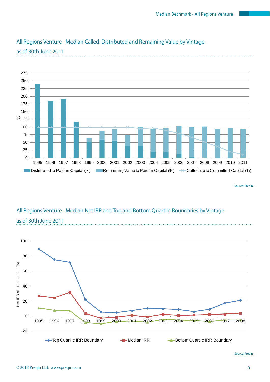

### All Regions Venture - Median Called, Distributed and Remaining Value by Vintage

as of 30th June 2011

Source: Preqin

### All Regions Venture - Median Net IRR and Top and Bottom Quartile Boundaries by Vintage as of 30th June 2011

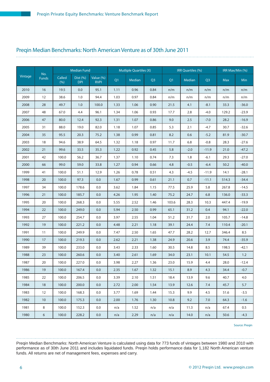#### Preqin Median Benchmarks: North American Venture as of 30th June 2011

|         |                     |                | <b>Median Fund</b>     |                          |      | <b>Mutliple Quartiles (X)</b> |      |       | <b>IRR Quartiles (%)</b> |                |            | IRR Max/Min (%) |
|---------|---------------------|----------------|------------------------|--------------------------|------|-------------------------------|------|-------|--------------------------|----------------|------------|-----------------|
| Vintage | No.<br><b>Funds</b> | Called<br>(% ) | Dist (%)<br><b>DPI</b> | Value (%)<br><b>RVPI</b> | Q1   | Median                        | Q3   | Q1    | Median                   | Q <sub>3</sub> | <b>Max</b> | Min             |
| 2010    | 16                  | 19.5           | 0.0                    | 95.1                     | 1.11 | 0.96                          | 0.84 | n/m   | n/m                      | n/m            | n/m        | n/m             |
| 2009    | 12                  | 38.6           | 1.0                    | 94.4                     | 1.03 | 0.97                          | 0.84 | n/m   | n/m                      | n/m            | n/m        | n/m             |
| 2008    | 28                  | 49.7           | 1.0                    | 100.0                    | 1.33 | 1.06                          | 0.90 | 21.5  | 4.1                      | $-8.1$         | 33.3       | $-36.0$         |
| 2007    | 48                  | 67.0           | 4.4                    | 96.1                     | 1.34 | 1.06                          | 0.93 | 17.7  | 2.8                      | $-4.0$         | 129.2      | $-23.9$         |
| 2006    | 47                  | 80.0           | 12.4                   | 92.3                     | 1.31 | 1.07                          | 0.86 | 9.0   | 2.5                      | $-7.0$         | 28.2       | $-16.9$         |
| 2005    | 31                  | 88.0           | 19.0                   | 82.0                     | 1.18 | 1.07                          | 0.85 | 5.3   | 2.1                      | $-4.7$         | 30.7       | $-32.6$         |
| 2004    | 35                  | 95.5           | 20.3                   | 75.2                     | 1.38 | 0.99                          | 0.81 | 8.2   | 0.6                      | $-5.2$         | 81.9       | $-30.7$         |
| 2003    | 18                  | 94.6           | 38.9                   | 64.5                     | 1.32 | 1.18                          | 0.97 | 11.7  | 6.8                      | $-0.8$         | 28.3       | $-27.6$         |
| 2002    | 21                  | 99.6           | 33.5                   | 35.3                     | 1.22 | 0.92                          | 0.45 | 5.8   | $-2.0$                   | $-11.9$        | 21.0       | $-47.2$         |
| 2001    | 42                  | 100.0          | 56.2                   | 36.7                     | 1.37 | 1.10                          | 0.74 | 7.3   | 1.8                      | $-6.1$         | 29.3       | $-27.0$         |
| 2000    | 66                  | 99.0           | 59.0                   | 33.8                     | 1.27 | 0.94                          | 0.66 | 4.8   | $-0.5$                   | $-6.4$         | 50.2       | $-40.0$         |
| 1999    | 41                  | 100.0          | 51.1                   | 12.9                     | 1.26 | 0.78                          | 0.51 | 4.3   | $-4.5$                   | $-11.9$        | 14.1       | $-28.1$         |
| 1998    | 20                  | 100.0          | 97.3                   | 0.0                      | 1.67 | 0.99                          | 0.61 | 21.1  | 0.7                      | $-11.1$        | 514.3      | $-34.4$         |
| 1997    | 34                  | 100.0          | 178.6                  | 0.0                      | 3.62 | 1.84                          | 1.15 | 77.5  | 25.9                     | 5.8            | 267.8      | $-14.5$         |
| 1996    | 21                  | 100.0          | 185.7                  | 0.0                      | 4.26 | 1.95                          | 1.40 | 75.2  | 24.7                     | 6.8            | 136.0      | $-33.3$         |
| 1995    | 20                  | 100.0          | 268.3                  | 0.0                      | 5.55 | 2.52                          | 1.46 | 103.6 | 28.3                     | 10.3           | 447.4      | $-19.9$         |
| 1994    | 22                  | 100.0          | 249.0                  | 0.0                      | 5.94 | 2.50                          | 0.99 | 65.1  | 31.2                     | 0.4            | 94.1       | $-22.0$         |
| 1993    | 27                  | 100.0          | 254.7                  | 0.0                      | 3.97 | 2.55                          | 1.04 | 51.2  | 31.7                     | 2.0            | 105.7      | $-14.8$         |
| 1992    | 19                  | 100.0          | 221.2                  | 0.0                      | 4.48 | 2.21                          | 1.18 | 39.1  | 24.4                     | 7.4            | 110.4      | $-20.1$         |
| 1991    | 11                  | 100.0          | 249.9                  | 0.0                      | 7.47 | 2.50                          | 1.65 | 47.7  | 28.2                     | 12.7           | 346.4      | 8.5             |
| 1990    | 17                  | 100.0          | 219.3                  | 0.0                      | 2.62 | 2.21                          | 1.38 | 24.9  | 20.6                     | 3.9            | 74.4       | $-35.9$         |
| 1989    | 39                  | 100.0          | 233.0                  | 0.0                      | 3.43 | 2.33                          | 1.60 | 30.5  | 14.8                     | 8.5            | 198.5      | $-42.1$         |
| 1988    | 23                  | 100.0          | 260.6                  | 0.0                      | 3.40 | 2.61                          | 1.69 | 34.0  | 23.1                     | 10.1           | 54.5       | 1.2             |
| 1987    | 20                  | 100.0          | 227.0                  | 0.0                      | 3.98 | 2.27                          | 1.36 | 23.0  | 15.9                     | 4.4            | 28.0       | $-12.4$         |
| 1986    | 19                  | 100.0          | 167.4                  | 0.0                      | 2.35 | 1.67                          | 1.32 | 15.1  | 8.9                      | 4.3            | 34.4       | $-0.7$          |
| 1985    | 22                  | 100.0          | 206.5                  | 0.0                      | 3.39 | 2.10                          | 1.51 | 18.4  | 13.9                     | 9.6            | 40.7       | 4.0             |
| 1984    | 18                  | 100.0          | 200.0                  | 0.0                      | 2.72 | 2.00                          | 1.54 | 13.9  | 12.6                     | 7.4            | 45.7       | 5.7             |
| 1983    | 12                  | 100.0          | 168.3                  | 0.0                      | 3.77 | 1.69                          | 1.44 | 15.3  | 9.9                      | 4.5            | 51.6       | $-3.5$          |
| 1982    | 10                  | 100.0          | 175.3                  | 0.0                      | 2.00 | 1.76                          | 1.30 | 10.8  | 9.2                      | 7.0            | 64.3       | $-1.6$          |
| 1981    | $\,8\,$             | 100.0          | 152.3                  | 0.0                      | n/a  | 1.52                          | n/a  | n/a   | 11.3                     | n/a            | 67.4       | $0.5\,$         |
| 1980    | $\epsilon$          | 100.0          | 228.2                  | 0.0                      | n/a  | 2.29                          | n/a  | n/a   | 14.0                     | n/a            | 50.6       | $-4.3$          |

Source: Preqin

Preqin Median Benchmarks: North American Venture is calculated using data for 773 funds of vintages between 1980 and 2010 with performance as of 30th June 2011 and includes liquidated funds. Preqin holds performance data for 1,182 North American venture funds. All returns are net of management fees, expenses and carry.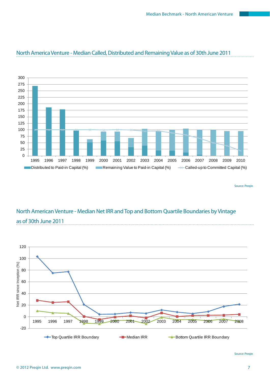

#### North America Venture - Median Called, Distributed and Remaining Value as of 30th June 2011

Source: Preqin

### North American Venture - Median Net IRR and Top and Bottom Quartile Boundaries by Vintage as of 30th June 2011

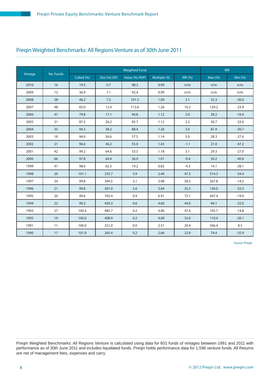### Preqin Weighted Benchmarks: All Regions Venture as of 30th June 2011

| Vintage | No. Funds |            |              | <b>Weighted Fund</b> |              |                |         | <b>IRR</b> |
|---------|-----------|------------|--------------|----------------------|--------------|----------------|---------|------------|
|         |           | Called (%) | Dist (%) DPI | Value (%) RVPI       | Multiple (X) | <b>IRR (%)</b> | Max (%) | Min $(%)$  |
| 2010    | 16        | 19.5       | 0.7          | 98.2                 | 0.99         | n/m            | n/m     | n/m        |
| 2009    | 12        | 36.9       | 7.1          | 92.4                 | 0.99         | n/m            | n/m     | n/m        |
| 2008    | 28        | 46.2       | 7.2          | 101.5                | 1.09         | 3.1            | 33.3    | $-36.0$    |
| 2007    | 48        | 65.0       | 12.4         | 113.6                | 1.26         | 10.2           | 129.2   | $-23.9$    |
| 2006    | 47        | 79.8       | 17.1         | 94.8                 | 1.12         | 2.9            | 28.2    | $-16.9$    |
| 2005    | 31        | 87.2       | 26.2         | 85.7                 | 1.12         | 2.2            | 30.7    | $-32.6$    |
| 2004    | 35        | 94.3       | 38.2         | 88.4                 | 1.26         | 3.0            | 81.9    | $-30.7$    |
| 2003    | 18        | 94.0       | 56.6         | 57.5                 | 1.14         | 5.0            | 28.3    | $-27.6$    |
| 2002    | 21        | 96.6       | 46.2         | 55.0                 | 1.03         | $-1.1$         | 21.0    | $-47.2$    |
| 2001    | 42        | 99.2       | 64.6         | 53.5                 | 1.18         | 3.1            | 29.3    | $-27.0$    |
| 2000    | 66        | 97.8       | 64.4         | 36.9                 | 1.01         | $-0.4$         | 50.2    | $-40.0$    |
| 1999    | 41        | 98.6       | 62.3         | 19.2                 | 0.82         | $-4.3$         | 14.1    | $-28.1$    |
| 1998    | 20        | 101.1      | 235.7        | 3.9                  | 2.40         | 47.3           | 514.3   | $-34.4$    |
| 1997    | 34        | 99.8       | 304.5        | 3.1                  | 3.08         | 58.5           | 267.8   | $-14.5$    |
| 1996    | 21        | 99.8       | 301.0        | 2.6                  | 3.04         | 25.5           | 136.0   | $-33.3$    |
| 1995    | 20        | 99.6       | 705.4        | 0.9                  | 6.91         | 72.1           | 447.4   | $-19.9$    |
| 1994    | 22        | 99.2       | 459.3        | 0.6                  | 4.60         | 44.0           | 94.1    | $-22.0$    |
| 1993    | 27        | 100.4      | 485.7        | 0.2                  | 4.86         | 47.0           | 105.7   | $-14.8$    |
| 1992    | 19        | 100.0      | 408.9        | 0.2                  | 4.09         | 33.0           | 110.4   | $-20.1$    |
| 1991    | 11        | 100.0      | 251.0        | 0.0                  | 2.51         | 20.4           | 346.4   | 8.5        |
| 1990    | 17        | 101.9      | 265.4        | 0.2                  | 2.66         | 22.9           | 74.4    | $-35.9$    |

Source: Preqin

Preqin Weighted Benchmarks: All Regions Venture is calculated using data for 601 funds of vintages between 1991 and 2011 with performance as of 30th June 2011 and includes liquidated funds. Preqin holds performance data for 1,596 venture funds. All Returns are net of management fees, expenses and carry.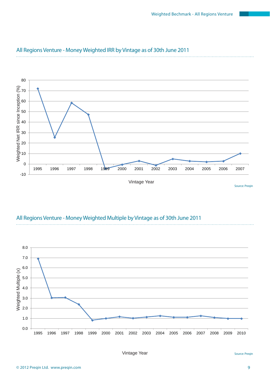

#### All Regions Venture - Money Weighted IRR by Vintage as of 30th June 2011



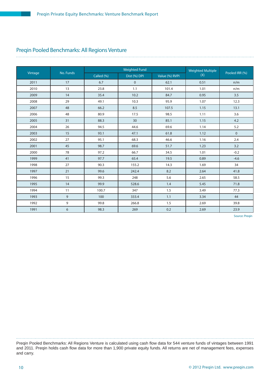#### Preqin Pooled Benchmarks: All Regions Venture

|         |           |            | <b>Weighted Fund</b> |                |                                 |                |
|---------|-----------|------------|----------------------|----------------|---------------------------------|----------------|
| Vintage | No. Funds | Called (%) | Dist (%) DPI         | Value (%) RVPI | <b>Weighted Multiple</b><br>(X) | Pooled IRR (%) |
| 2011    | 17        | 6.7        | $\mathbf 0$          | 62.1           | 0.51                            | n/m            |
| 2010    | 13        | 23.8       | 1.1                  | 101.4          | 1.01                            | n/m            |
| 2009    | 14        | 35.4       | 10.2                 | 84.7           | 0.95                            | 3.5            |
| 2008    | 29        | 49.1       | 10.3                 | 95.9           | 1.07                            | 12.3           |
| 2007    | 48        | 66.2       | 8.5                  | 107.5          | 1.15                            | 13.1           |
| 2006    | 48        | 80.9       | 17.5                 | 98.5           | 1.11                            | 3.6            |
| 2005    | 31        | 88.3       | 30                   | 85.1           | 1.15                            | 4.2            |
| 2004    | 26        | 94.5       | 44.6                 | 69.6           | 1.14                            | 5.2            |
| 2003    | 15        | 93.1       | 47.1                 | 61.8           | 1.12                            | $\mathbf 0$    |
| 2002    | 27        | 95.1       | 68.3                 | 46.6           | 1.16                            | 2.4            |
| 2001    | 45        | 98.7       | 69.6                 | 51.7           | 1.23                            | 3.2            |
| 2000    | 78        | 97.2       | 66.7                 | 34.5           | 1.01                            | $-0.2$         |
| 1999    | 41        | 97.7       | 65.4                 | 19.5           | 0.89                            | $-4.6$         |
| 1998    | 27        | 90.3       | 155.2                | 14.3           | 1.69                            | 34             |
| 1997    | 21        | 99.6       | 242.4                | 8.2            | 2.64                            | 41.8           |
| 1996    | 15        | 99.3       | 248                  | 5.6            | 2.65                            | 58.5           |
| 1995    | 14        | 99.9       | 528.6                | 1.4            | 5.45                            | 71.8           |
| 1994    | 11        | 100.7      | 347                  | 1.5            | 3.49                            | 77.3           |
| 1993    | 9         | 100        | 333.4                | 1.1            | 3.34                            | 44             |
| 1992    | 9         | 99.8       | 266.8                | 1.5            | 2.69                            | 39.8           |
| 1991    | 6         | 98.3       | 269                  | 0.2            | 2.69                            | 23.9           |

Source: Preqin

Preqin Pooled Benchmarks: All Regions Venture is calculated using cash flow data for 544 venture funds of vintages between 1991 and 2011. Preqin holds cash flow data for more than 1,900 private equity funds. All returns are net of management fees, expenses and carry.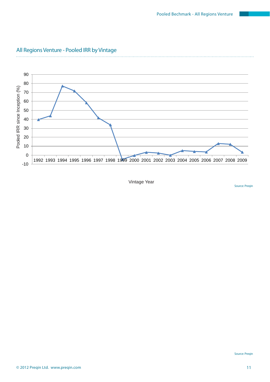

### All Regions Venture - Pooled IRR by Vintage

. . . . . . . . . . . . . .

Source: Preqin

Vintage Year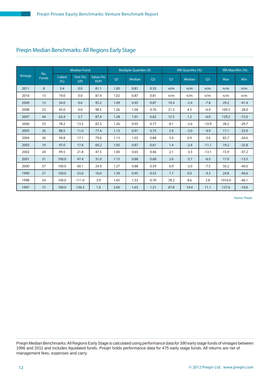#### Preqin Median Benchmarks: All Regions Early Stage

|         |                     |               | <b>Median Fund</b>     |                          |                | <b>Mutliple Quartiles (X)</b> |                |      | IRR Quartiles (%) |                | IRR Max/Min (%) |            |
|---------|---------------------|---------------|------------------------|--------------------------|----------------|-------------------------------|----------------|------|-------------------|----------------|-----------------|------------|
| Vintage | No.<br><b>Funds</b> | Called<br>(%) | Dist (%)<br><b>DPI</b> | Value (%)<br><b>RVPI</b> | Q <sub>1</sub> | <b>Median</b>                 | Q <sub>3</sub> | Q1   | Median            | Q <sub>3</sub> | <b>Max</b>      | <b>Min</b> |
| 2011    | 8                   | 3.4           | 0.0                    | 81.1                     | 1.00           | 0.81                          | 0.35           | n/m  | n/m               | n/m            | n/m             | n/m        |
| 2010    | 13                  | 19.0          | 0.0                    | 87.4                     | 1.02           | 0.87                          | 0.81           | n/m  | n/m               | n/m            | n/m             | n/m        |
| 2009    | 12                  | 34.0          | 0.0                    | 95.2                     | 1.09           | 0.95                          | 0.87           | 10.4 | $-2.4$            | $-7.8$         | 29.2            | $-41.4$    |
| 2008    | 23                  | 45.0          | 0.0                    | 98.5                     | 1.26           | 1.04                          | 0.76           | 21.3 | 4.3               | $-6.9$         | 109.5           | $-28.0$    |
| 2007    | 44                  | 62.4          | 2.7                    | 87.4                     | 1.28           | 1.01                          | 0.82           | 15.5 | 1.2               | $-6.0$         | 129.2           | $-72.0$    |
| 2006    | 33                  | 78.2          | 13.5                   | 82.5                     | 1.26           | 0.95                          | 0.77           | 8.1  | $-2.6$            | $-10.9$        | 28.2            | $-29.7$    |
| 2005    | 26                  | 88.5          | 11.0                   | 77.4                     | 1.13           | 0.91                          | 0.75           | 2.9  | $-3.0$            | $-9.9$         | 17.1            | $-23.9$    |
| 2004    | 26                  | 94.8          | 17.1                   | 79.6                     | 1.13           | 1.03                          | 0.88           | 5.4  | 0.9               | $-3.6$         | 82.7            | $-26.6$    |
| 2003    | 19                  | 97.0          | 17.6                   | 60.2                     | 1.05           | 0.87                          | 0.61           | 1.4  | $-2.4$            | $-11.1$        | 19.2            | $-25.8$    |
| 2002    | 24                  | 99.5          | 21.8                   | 47.5                     | 1.00           | 0.65                          | 0.46           | 2.1  | $-3.3$            | $-13.1$        | 15.9            | $-47.2$    |
| 2001    | 31                  | 100.0         | 47.4                   | 31.0                     | 1.15           | 0.88                          | 0.68           | 2.6  | $-3.7$            | $-6.5$         | 17.0            | $-13.5$    |
| 2000    | 57                  | 100.0         | 60.1                   | 24.9                     | 1.27           | 0.88                          | 0.59           | 6.9  | $-2.0$            | $-7.5$         | 50.2            | $-40.0$    |
| 1999    | 27                  | 100.0         | 53.6                   | 16.0                     | 1.39           | 0.95                          | 0.55           | 7.7  | 0.0               | $-9.3$         | 24.8            | $-40.6$    |
| 1998    | 24                  | 100.0         | 111.0                  | 3.9                      | 1.65           | 1.33                          | 0.70           | 78.2 | 8.6               | 2.8            | 1016.0          | $-46.1$    |
| 1997    | 15                  | 100.0         | 136.3                  | 1.0                      | 3.60           | 1.63                          | 1.21           | 67.8 | 19.4              | 11.1           | 127.6           | $-10.6$    |

Source: Pregin

Preqin Median Benchmarks: All Regions Early Stage is calculated using performance data for 390 early stage funds of vintages between 1996 and 2011 and includes liquidated funds. Preqin holds performance data for 475 early stage funds. All returns are net of management fees, expenses and carry.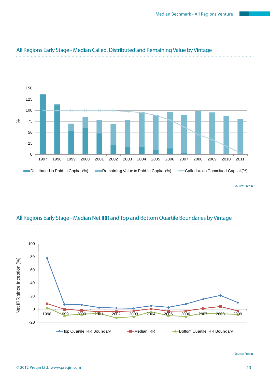

### All Regions Early Stage - Median Called, Distributed and Remaining Value by Vintage

Source: Preqin

### All Regions Early Stage - Median Net IRR and Top and Bottom Quartile Boundaries by Vintage

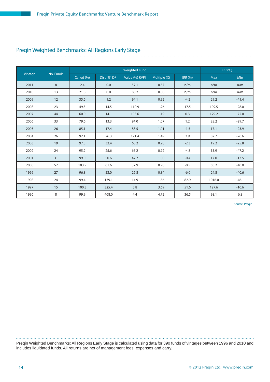### Preqin Weighted Benchmarks: All Regions Early Stage

|         |           |            |              | <b>Weighted Fund</b> |              |                |            | <b>IRR (%)</b> |
|---------|-----------|------------|--------------|----------------------|--------------|----------------|------------|----------------|
| Vintage | No. Funds | Called (%) | Dist (%) DPI | Value (%) RVPI       | Multiple (X) | <b>IRR (%)</b> | <b>Max</b> | Min            |
| 2011    | 8         | 2.4        | 0.0          | 57.1                 | 0.57         | n/m            | n/m        | n/m            |
| 2010    | 13        | 21.8       | 0.0          | 88.2                 | 0.88         | n/m            | n/m        | n/m            |
| 2009    | 12        | 35.6       | 1.2          | 94.1                 | 0.95         | $-4.2$         | 29.2       | $-41.4$        |
| 2008    | 23        | 49.3       | 14.5         | 110.9                | 1.26         | 17.5           | 109.5      | $-28.0$        |
| 2007    | 44        | 60.0       | 14.1         | 103.6                | 1.19         | 0.3            | 129.2      | $-72.0$        |
| 2006    | 33        | 79.6       | 13.3         | 94.0                 | 1.07         | 1.2            | 28.2       | $-29.7$        |
| 2005    | 26        | 85.1       | 17.4         | 83.5                 | 1.01         | $-1.5$         | 17.1       | $-23.9$        |
| 2004    | 26        | 92.1       | 26.3         | 121.4                | 1.49         | 2.9            | 82.7       | $-26.6$        |
| 2003    | 19        | 97.5       | 32.4         | 65.2                 | 0.98         | $-2.3$         | 19.2       | $-25.8$        |
| 2002    | 24        | 95.2       | 25.6         | 66.2                 | 0.92         | $-4.8$         | 15.9       | $-47.2$        |
| 2001    | 31        | 99.0       | 50.6         | 47.7                 | 1.00         | $-0.4$         | 17.0       | $-13.5$        |
| 2000    | 57        | 103.9      | 61.6         | 37.9                 | 0.98         | $-0.5$         | 50.2       | $-40.0$        |
| 1999    | 27        | 96.8       | 53.0         | 26.8                 | 0.84         | $-6.0$         | 24.8       | $-40.6$        |
| 1998    | 24        | 99.4       | 139.1        | 14.9                 | 1.56         | 82.9           | 1016.0     | $-46.1$        |
| 1997    | 15        | 100.3      | 325.4        | 5.8                  | 3.69         | 51.6           | 127.6      | $-10.6$        |
| 1996    | 8         | 99.9       | 468.0        | 4.4                  | 4.72         | 36.5           | 98.1       | 6.8            |

Source: Preqin

Preqin Weighted Benchmarks: All Regions Early Stage is calculated using data for 390 funds of vintages between 1996 and 2010 and includes liquidated funds. All returns are net of management fees, expenses and carry.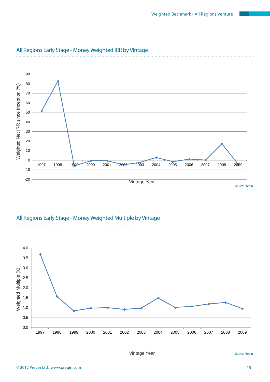

#### All Regions Early Stage - Money Weighted IRR by Vintage

#### All Regions Early Stage - Money Weighted Multiple by Vintage

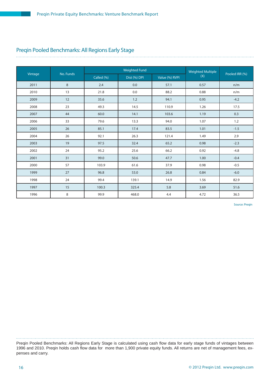#### Preqin Pooled Benchmarks: All Regions Early Stage

|         |           |            | <b>Weighted Fund</b> |                | <b>Weighted Multiple</b> |                |
|---------|-----------|------------|----------------------|----------------|--------------------------|----------------|
| Vintage | No. Funds | Called (%) | Dist (%) DPI         | Value (%) RVPI | (X)                      | Pooled IRR (%) |
| 2011    | 8         | 2.4        | 0.0                  | 57.1           | 0.57                     | n/m            |
| 2010    | 13        | 21.8       | 0.0                  | 88.2           | 0.88                     | n/m            |
| 2009    | 12        | 35.6       | 1.2                  | 94.1           | 0.95                     | $-4.2$         |
| 2008    | 23        | 49.3       | 14.5                 | 110.9          | 1.26                     | 17.5           |
| 2007    | 44        | 60.0       | 14.1                 | 103.6          | 1.19                     | 0.3            |
| 2006    | 33        | 79.6       | 13.3                 | 94.0           | 1.07                     | 1.2            |
| 2005    | 26        | 85.1       | 17.4                 | 83.5           | 1.01                     | $-1.5$         |
| 2004    | 26        | 92.1       | 26.3                 | 121.4          | 1.49                     | 2.9            |
| 2003    | 19        | 97.5       | 32.4                 | 65.2           | 0.98                     | $-2.3$         |
| 2002    | 24        | 95.2       | 25.6                 | 66.2           | 0.92                     | $-4.8$         |
| 2001    | 31        | 99.0       | 50.6                 | 47.7           | 1.00                     | $-0.4$         |
| 2000    | 57        | 103.9      | 61.6                 | 37.9           | 0.98                     | $-0.5$         |
| 1999    | 27        | 96.8       | 53.0                 | 26.8           | 0.84                     | $-6.0$         |
| 1998    | 24        | 99.4       | 139.1                | 14.9           | 1.56                     | 82.9           |
| 1997    | 15        | 100.3      | 325.4                | 5.8            | 3.69                     | 51.6           |
| 1996    | 8         | 99.9       | 468.0                | 4.4            | 4.72                     | 36.5           |

Source: Preqin

Preqin Pooled Benchmarks: All Regions Early Stage is calculated using cash flow data for early stage funds of vintages between 1996 and 2010. Preqin holds cash flow data for more than 1,900 private equity funds. All returns are net of management fees, expenses and carry.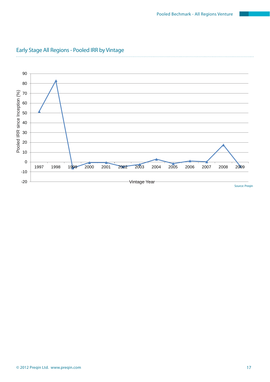

### Early Stage All Regions - Pooled IRR by Vintage

 $\ldots$  .

© 2012 Preqin Ltd. www.preqin.com 17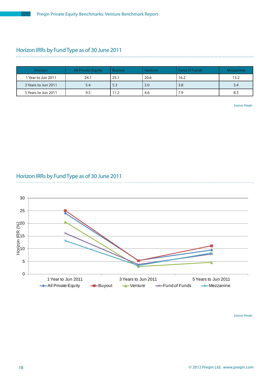## Horizon IRRs by Fund Type as of 30 June 2011

| <b>Horizon</b>      | <b>All Private Equity</b> | Buvout | Venture | <b>Fund of Funds</b> | Mezzanine |
|---------------------|---------------------------|--------|---------|----------------------|-----------|
| l Year to Jun 2011  | 24.1                      | 25.    | 20.6    | 16.2                 | 13.2      |
| 3 Years to Jun 2011 | 5.4                       | 5.3    | 3.0     | 3.8                  | 3.4       |
| 5 Years to Jun 2011 | 9.5                       | 1.2    | 4.6     | 7.9                  | 8.3       |

Source: Preqin

#### Horizon IRRs by Fund Type as of 30 June 2011

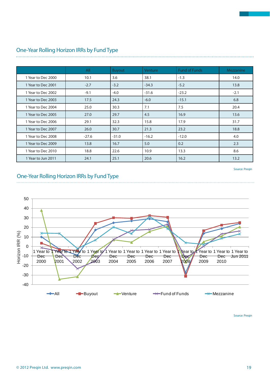|                    | All     | <b>Buyout</b> | <b>Venture</b> | <b>Fund of Funds</b> | Mezzanine |
|--------------------|---------|---------------|----------------|----------------------|-----------|
| 1 Year to Dec 2000 | 10.1    | 3.6           | 38.1           | $-1.3$               | 14.0      |
| 1 Year to Dec 2001 | $-2.7$  | $-3.2$        | $-34.3$        | $-5.2$               | 13.8      |
| 1 Year to Dec 2002 | $-9.1$  | $-4.0$        | $-31.6$        | $-23.2$              | $-2.1$    |
| 1 Year to Dec 2003 | 17.5    | 24.3          | $-6.0$         | $-15.1$              | 6.8       |
| 1 Year to Dec 2004 | 25.0    | 30.3          | 7.1            | 7.5                  | 20.4      |
| 1 Year to Dec 2005 | 27.0    | 29.7          | 4.5            | 16.9                 | 13.6      |
| 1 Year to Dec 2006 | 29.1    | 32.3          | 15.8           | 17.9                 | 31.7      |
| 1 Year to Dec 2007 | 26.0    | 30.7          | 21.3           | 23.2                 | 18.8      |
| 1 Year to Dec 2008 | $-27.6$ | $-31.0$       | $-16.2$        | $-12.0$              | 4.0       |
| 1 Year to Dec 2009 | 13.8    | 16.7          | 5.0            | 0.2                  | 2.3       |
| 1 Year to Dec 2010 | 18.8    | 22.6          | 10.9           | 13.3                 | 8.6       |
| 1 Year to Jun 2011 | 24.1    | 25.1          | 20.6           | 16.2                 | 13.2      |

## One-Year Rolling Horizon IRRs by Fund Type

Source: Preqin

#### One-Year Rolling Horizon IRRs by Fund Type

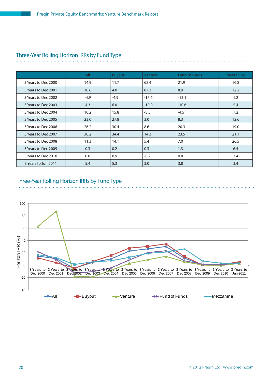#### Three-Year Rolling Horizon IRRs by Fund Type

|                     | <b>All</b> | <b>Buyout</b> | Venture | <b>Fund of Funds</b> | Mezzanine |
|---------------------|------------|---------------|---------|----------------------|-----------|
| 3 Years to Dec 2000 | 14.9       | 11.7          | 62.4    | 21.9                 | 16.8      |
| 3 Years to Dec 2001 | 10.6       | 4.0           | 87.3    | 8.9                  | 12.2      |
| 3 Years to Dec 2002 | $-4.9$     | $-4.9$        | $-17.6$ | $-13.1$              | 1.2       |
| 3 Years to Dec 2003 | 4.3        | 6.0           | $-19.0$ | $-10.6$              | 5.4       |
| 3 Years to Dec 2004 | 10.2       | 15.8          | $-8.5$  | $-4.5$               | 7.2       |
| 3 Years to Dec 2005 | 23.0       | 27.8          | 3.0     | 8.3                  | 12.6      |
| 3 Years to Dec 2006 | 26.2       | 30.4          | 8.6     | 20.3                 | 19.0      |
| 3 Years to Dec 2007 | 30.2       | 34.4          | 14.3    | 23.5                 | 21.1      |
| 3 Years to Dec 2008 | 11.3       | 14.1          | 5.4     | 7.0                  | 26.5      |
| 3 Years to Dec 2009 | 0.3        | 0.2           | 0.3     | 1.3                  | 6.5       |
| 3 Years to Dec 2010 | 0.8        | 0.9           | $-0.7$  | 0.8                  | 3.4       |
| 3 Years to Jun 2011 | 5.4        | 5.3           | 3.0     | 3.8                  | 3.4       |

#### Three-Year Rolling Horizon IRRs by Fund Type

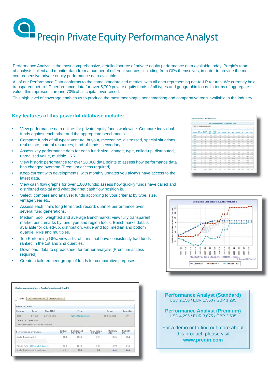Performance Analyst is the most comprehensive, detailed source of private equity performance data available today. Preqin's team of analysts collect and monitor data from a number of different sources, including from GPs themselves, in order to provide the most comprehensive private equity performance data available.

All of our Performance Data conforms to the same standardized metrics, with all data representing net-to-LP returns. We currently hold transparent net-to-LP performance data for over 5,700 private equity funds of all types and geographic focus. In terms of aggregate value, this represents around 70% of all capital ever raised.

This high level of coverage enables us to produce the most meaningful benchmarking and comparative tools available in the industry.

#### **Key features of this powerful database include:**

- View performance data online: for private equity funds worldwide. Compare individual funds against each other and the appropriate benchmarks.
- Compare funds of all types: venture, buyout, mezzanine, distressed, special situations, real estate, natural resources; fund-of-funds, secondary.
- Assess key performance data for each fund: size, vintage, type, called-up, distributed, unrealised value, multiple, IRR.
- View historic performance for over 28,000 data points to assess how performance data has changed overtime (Premium access required).
- Keep current with developments: with monthly updates you always have access to the latest data.
- View cash flow graphs for over 1,800 funds: assess how quickly funds have called and distributed capital and what their net cash flow position is.
- Select, compare and analyse: funds according to your criteria: by type, size, vintage year etc.
- Assess each firm's long term track record: quartile performance over several fund generations.
- Median, pool, weighted and average Benchmarks: view fully transparent market benchmarks by fund type and region focus. Benchmarks data is available for called-up, distribution, value and top, median and bottom quartile IRRs and multiples.
- Top Performing GPs: view a list of firms that have consistently had funds ranked in the 1st and 2nd quartiles.
- Download: data to spreadsheet for further analysis (Premium access required).
- Create a tailored peer group: of funds for comparative purposes.

| Data                | <b>Cash Flow Charts</b>           | <b>Historic Data</b> |                |                        |                           |                    |                 |
|---------------------|-----------------------------------|----------------------|----------------|------------------------|---------------------------|--------------------|-----------------|
| <b>FUND DETAILS</b> |                                   |                      |                |                        |                           |                    |                 |
| Vintage             | Type                              | Size (Mn)            |                | Firm                   |                           | $A \subseteq At$ : | Quartile:       |
| 2001                | Buyout                            | 3,742.0 USD          |                | Apollo Management      |                           | 31-Dec-2008        | 13t             |
|                     | <b>Industry Focus: Any</b>        |                      |                |                        |                           |                    |                 |
|                     | Location Focus: US, North America |                      |                |                        |                           |                    |                 |
|                     | Performance Overview              |                      | Called<br>(96) | Distributed<br>(%) DPI | Rem. Value<br>$(96)$ RVPI | Multiple<br>(X)    | Net IRR<br>(96) |
|                     |                                   |                      | 92.3           | 191.0                  | 59.9                      | 2.51               | 40.1            |
| Apollo Investment V |                                   |                      |                |                        |                           |                    |                 |
|                     |                                   |                      |                |                        |                           |                    |                 |
|                     | Median Fund: 2001 / US / Buyout   |                      | 92.3           | 124.5                  | 52.5                      | 1.90               | 24.0            |

| US / Venture (Hedian) - 30 September, 2008 |                     |                    |               |                                          |                    |                  |                |                     |              |               |                    |               |
|--------------------------------------------|---------------------|--------------------|---------------|------------------------------------------|--------------------|------------------|----------------|---------------------|--------------|---------------|--------------------|---------------|
| <b>Data</b>                                |                     | Van Bandarack Dart |               |                                          |                    |                  |                |                     |              |               |                    |               |
| <b>Mandasco</b>                            | <b>Madian Pund</b>  |                    |               |                                          | Multiple Duartiles |                  |                | <b>153 Quarties</b> |              |               | <b>SEE Has No.</b> |               |
|                                            | <b>Players Call</b> | Called             | Dist<br>눮     | <b>Talan</b><br><b>COL</b><br><b>CYP</b> | 6k                 | Heilian          | 03             | $_{01}$             | <b>Hedus</b> | as            | <b>Han</b>         | <b>Hour</b>   |
| 2012                                       | 13                  | 1.L                | 63            | bs 5                                     | 1.33               | 11.34            | 6.73           | <b>Wind</b>         | <b>WH</b>    | ALC UNK       | <b>WHY</b>         | <b>INTE</b>   |
| 2827                                       | 28                  | 11.7               | 11            | <b>BCI</b>                               | S.NT               | 5.04             | 5.71           | We                  | Wei          | A/m           | Web-               | <b>Ship</b>   |
| 202                                        | $_{\rm at}$         | 4.3.8              | $4 - 3$       | 87.3                                     | 1.34               | 9.82             | 9.81           | 1.9                 | 15.7         | $166 - 46$    | 25.4               | $-0.4 - 10$   |
| $\equiv$                                   | 25                  | 45.8               | 2.1           | 33.3                                     | 1.18               | 1.14             | 3.31           | 12.2                | $\sim$       | <b>HOLE</b>   | <b>MAX</b>         | $-01.5$       |
| 2215                                       | 28                  | 76.8               | 13.0          | 12.2                                     | 1.41               | 1.0 <sup>1</sup> | 1.11           | 18.9                | 1.1          | -4.8          |                    | $47.4 - 49.8$ |
| $=$                                        | 13                  | 83.90              | 21.2          | 95.2                                     | $+34$              | 1.27             | 1.41           | <b>TET</b>          | 1.9          | 16.8          | 26.2               | $-112.8$      |
| $\frac{1}{2}$                              | $\rightarrow$       | 14.0               | bk a          | $72 - 6$                                 | $+30$              | $+11$            | 7.44           | $+1$                | 4.4          | $-5.2$        | 14.9               | $-19.6$       |
| 2004                                       | $\sim$              | 34.3               | 36.5          | VE &                                     | 2,34               | 2.05             | <b>ALCOHOL</b> | 8.2                 | 2.2          | $-7.3$        | 35.4               | $-111.2$      |
| 2222                                       | $\sim$              | 44.8               | 45.5          | 56.7                                     | 1.33               | 1.11             | 6.74           | 4.4                 | 12           | $-4.6$        | 38.2               | $-25.8$       |
| 1223                                       | $^{+}$              | 44.6               | 45.1          | 25.2                                     | 1.33               | 2, 7             | 9.31           | 4.4                 | 4.3          | 16.2          | 300.4              | $+0.8$        |
| 1211                                       | 25                  | 205.8              | 14.2          | 1.3                                      | 1.82               | $1.17 -$         | 3.72           | 22.8                | 2.8          | $-0.1$        | 134.7              | $-22.8$       |
| 1952                                       | $^{28}$             | 101.8              | <b>CYR.R.</b> | 16.2                                     | 2.31               | 1.88             | 1,370          | 43.9                | 72.2         | 1.1           | 198.7              | 22.8          |
| 1885                                       | to:                 | 123.8              | 188.8         | 5.5                                      | 3.34               | 3.86             | 3.32           | 63.4                | 15.9         | 1.8           | ses.a              | $-8.6$        |
| 2225                                       | 11                  | 115.2              | 118.81        | 9.4                                      | 223                | 1.33             | 3.34           | <b>YKE</b>          | <b>JAY</b>   | $\rightarrow$ | 654.3              | $-7.4$        |
| 1575                                       | 13                  | 110.3              | 222.8         | 3.7                                      | 6.37               | 2.23             | 8.72           | 78.2                | 27.1         | $-0.8$        | 124.6              | $-28.2$       |
| 1,812                                      | ٠                   | 111.2              | 268.8         | 1.3                                      | 5.32               | 2.88             | 1.14           | 53.2                | 23.7         | 23.2          | 75.11              | $-0.0$        |
| 1392                                       | ×                   | 188.8              | 288.8         | 1.1                                      | 4.36               | 2.87             | 1.13           | 26.8                | 22.2         | 11.5          | 87.2               | $-18.5$       |



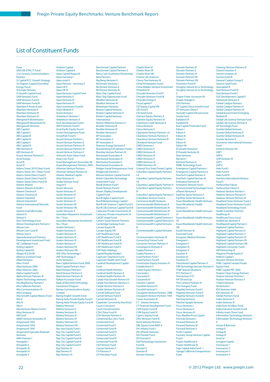#### List of Constituent Funds

Fund 2003 KIF-KTAC IT Fund 21st Century Communications Partners 2i Capital PCC: Growth Strategy 32 Degrees Capital Diversified<br>Energy Fund I 3i Europe Partners 3i Growth Capital Fund 5AM Ventures Fund 5AM Ventures Fund II 5AM Ventures Fund III Aberdare II Annex Fund Aberdare Ventures II Aberdare Ventures III Aberdare Ventures IV Abingworth Bioventures I Abingworth Bioventures IV Abingworth Ventures ABS Capital I ABS Capital II ABS Capital III ABS Capital IV ABS Capital V ABS Capital VI ABS Ventures II ABS Ventures III Acacia Venture Partners II Accel Europe Accel III Accel IV Adams Street 2010 Direct Fund Adams Street 2011 Direct Fund Adams Street Direct Fund V Adams Street Direct Fund VI Adams Street Direct Fund VII Advent Atlantic Advent Atlantic & Pacific I Advent Chestnut II Advent Chestnut III Advent Industrial Advent Industrial II Advent International Network Fund Advent Israel (Bermuda) Advent IV Advent V Aeris Technology Fund African Development Partners I African Lion African Lion Fund III African Lion II Agroindustrial and Forestry Development Investment Fund AIC Caribbean Fund Aisling Capital II Aisling Capital III Allegra III (LSH III) Alliance ScanEast Fund Allied Ventures Allos I Fund Alloy Ventures 2000 Alloy Ventures 2002 Alpha Capital Fund II Alpha Venture Partners III Alpine Technology Ventures Alta Biopharma Partners I Alta California Partners Alta Communications IV Alta Company Alta Growth Capital Mexico Fund Alta II Alta IV Alta V Alta Ventures Mexico Fund I Altos Ventures IV AM Fund AMEV Venture Associates III Ampersand 1992 Ampersand 1994 Ampersand 1995 Ampersand Specialty Materials Ventures AMV Partners I Annapolis I Annapolis II Annapolis III Annapolis IV Annapolis V

Anthem Capital Anthem Capital II Apax Capital Risque III Apax Germany I Apax Israel II Apax Partners - Germany II Apax UK V Apax UK VI Apax Ventures Capital Fund Apax Ventures II Apax Ventures III Apax Ventures IV Apex Investment Fund III Aravis Biotech II Aravis Venture I Arboretum Ventures I Arboretum Ventures II Arch Development Fund I ARCH Venture Fund V **Arral Pacific Equity Trust II** Arrow Development Fund ArrowPath Fund II Ascent Venture Partners I **Ascent Venture Partners II** Ascent Venture Partners III **Ascent Venture Partners IV** Ascent Venture Partners V Ashmore Asian Value Fund Asian Lion Fund Asset Management Associates 96 Asset Management Partners 2004 Athenian Venture Partners Athenian Venture Partners III Atlantic Medical Capital Atlas Ventures VI Audax Venture Fund August II Austin Ventures Austin Ventures IV Austin Ventures IX Austin Ventures V Austin Ventures VI Austin Ventures VII Austin Ventures VIII Austin Ventures X Australian Mezzanine Investment No. 1 Trust Australian Mezzanine Investment No. 2 Trust Avalon Ventures I Avalon Ventures II Avalon Ventures III Avalon Ventures IV Avalon Ventures IX Avalon Ventures V Avalon Ventures VII Avalon Ventures VIII AVP Ohio Technology I AVE CHILE Avrio Ventures I Bain Capital Venture Fund 2009 Baird Capital Partners Asia I Baird Venture Partners I Baird Venture Partners II Baird Venture Partners III Balkan Accession Fund Bank of Montreal Technology Investment Program **Baring Communications Equity** Limit Baring English Growth Fund Baring India Private Equity Fund II Baring India Private Equity Fund III Battery Ventures Battery Ventures II Battery Ventures III Battery Ventures IV Battery Ventures VI Battery Ventures VII Battery Ventures VIII Bay Area Equity Fund I Bay City Capital Fund I Bay City Capital Fund II Bay City Capital Fund III Bay City Capital Fund IV Bay City Capital Fund V Bay Partners IV Bay Partners X Bay Partners XI

Benchmark Capital Partners Benchmark Capital Partners II Berry Cash Southwest Partnership Beta Partners Big Bang Ventures II Birchmere Ventures I Birchmere Ventures II Birchmere Ventures III Blue Chip Capital Fund Blue Chip Opportunity Fund BlueRun Ventures III BlueRun Ventures IV Bluestream Ventures Boston Capital Ventures Boston Capital Ventures II Boston Capital Ventures International Boston Millennia Partners II Boulder Ventures III Boulder Ventures IV Boulder Ventures V BP Innovation BP Innovation 2 BP Innovation 3 Braemar Energy Ventures II Brandenburg Frļphasen Fonds Brantley Venture Partners III Brentwood Associates II Brentwood Associates IV Brentwood Associates V Brentwood Associates VI Bridges Social Entrepreneurs Fund Bridgescale Partners I Brinson Venture Capital Fund III British Columbia Technology Investment Fund Brook Venture Fund I Brook Venture Fund II Brown Shipley Development Capital Fund Burrill Agbio Capital Fund Burrill Biotechnology Capital I Burrill Life Sciences Capital Fund II Burrill Life Sciences Capital Fund III Caduceus Private Investments III Caduceus Private Investments IV CalCEF Angel Fund Calvert Social Venture Partners Cambridge Gateway Fund Canaan Equity VII Canaan Equity VIII CAP Healthcare Fund CAP Healthcare Fund II CAP Healthcare Fund III CAP Healthcare Fund IV CAP Healthcare Fund V CAP Note Holdings Capital Royalty Parallel I Capricorn Cleantech Fund Capricorn Health-tech Fund Cardinal Development Capital Fund Cardinal Health Partners Cardinal Health Partners II Cardinal Health Partners III Carlyle Asia Growth Partners IV Carlyle Asia Venture Partners II Carlyle Venture Partners II Carlyle Venture Partners III Carmel Software Fund Carmel Venture Fund II Carmel Ventures III Carpenter Community Bancfund Cauris Croissance Cauris Investissement CDH China Fund IV CDH Venture Partners II Centennial Bus. Dev. Fund Centennial Fund Centennial Fund II Centennial Fund III Centennial Fund IV Centennial Fund V Centennial Fund VI Centennial Fund VII CEO Venture Fund Ceyuan Ventures II CH Partners II CH Transition Fund

Charles River VI Charles River VII Charles River VIII Charter Life Sciences Cherry Tree Ventures IV China Privatization Fund I China Walden Venture Investment ChinaVest IV Chrysalis Ventures Fund II Chrysalis Ventures Fund III Chrysalix Energy II ChrysCapital V CID Equity Capital VIII CID Fund V CID Seed Fund Clairvest Equity Partners II Clairvest Equity Partners III Claremont Creek Ventures II Clarus Ventures Clarus Ventures II Clearstone Venture Partners I-A Clearstone Venture Partners II Clearstone Venture Partners III Cleveland Venture Fund CMEA Ventures I CMEA Ventures II CMEA Ventures III CMEA Ventures IV CMEA Ventures V CMEA Ventures VI CMEA Ventures VII Colonial First State Private Capital Columbia Capital Equity Partners I-A Columbia Capital Equity Partners I-B Columbia Capital Equity Partners II Columbia Capital Equity Partners IV Columbia Capital Equity Partners V Columbine Venture Fund II Commerce Health Ventures Commonwealth BioVentures II Commonwealth BioVentures III Commonwealth BioVentures IV Commonwealth BioVentures V Commonwealth Capital Ventures I Commonwealth Capital Ventures II Commonwealth Capital Ventures III Commonwealth Capital Ventures IV Communications Ventures III Connecticut Future Fund Consumer Venture Partners II Convergence Ventures II Copley Partners 1 Copley Partners 2 Coral Partners Fund I Coral Partners Fund II Cornerstone Equity Investors IV Costella Kirsch V Craton Equity Partners I Crescendo I Crescendo II Crescendo IV Crescent Capital I Crosslink Venture IV Crosslink Venture V Crosspoint Venture Partners 1988 Crosspoint Venture Partners 1993 Crown Associates III CT - Greene Ventures CT Financial Development Fund **CVM Equity Fund III** CVM Equity Fund IV Cypress Equity Fund DAG Ventures Fund III Davis Venture Partner DBL Equity Fund-BAEF II DFJ Athena Fund I DFJ ePlanet Ventures DFJ Frontier Fund DFJ Frontier II Doll Technology Investment Fund III Domain II Domain III Domain Partners

Domain Partners V Domain Partners VI Domain Partners VII Domain Partners VIII Dominion Fund IV Doughty Hanson & Co Technology Doughty Hanson & Co Technology II Draper Fisher Jurvetson VII Draper Triangle II DSV Partners DT Capital China Growth Fund DT Ventures China II Dunrath Capital Infrastructure Surety Fund Earlybird I/I Earlybird IV East Capital Financials Fund Edison I Edison II Edison III Edison V Edison VI Edison VII El Dorado Ventures I El Dorado Ventures III Elaia Ventures Element I Element Partners II EMBL Technology Fund Emergence Capital Partners I Emergence Capital Partners II EnerTech Capital Partners II EnerTech Capital Partners III Enterprise Partners III Enterprise Venture Fund I Environmental Technologies Fund ePlanet Ventures II EspÂrito Santo Ventures II Espà rito Santo Ventures III Essex Woodlands Health Ventures Essex Woodlands Health Ventures V Essex Woodlands Health Ventures VI Essex Woodlands Health Ventures VII Essex Woodlands Health Ventures VIII Euclid Partners III Euromed Fund European Medical Ventures Evergreen I Evergreen II Evergreen III Evergreen V Excelsior II Excelsior III Excelsior IV Falconhead Capital Partners II FBR Technology Venture Partners II FF&P Special Situations FFC Partners II Finnventure V ET FIP Oil and Gas First Century Partners III First Hungary Fund Flagship Ventures Fund I Flagship Ventures Fund II Flagship Ventures Fund III Fleming Ventures Fletcher Spaght Ventures Focus Ventures I Focus Ventures II Focus Ventures III Fons Mediterrà nia Capital Formula Ventures I Forward Ventures III Forward Ventures IV Forward Ventures V Fostin Capital I Foundry Group Venture Capital Fund I Frazier Healthcare II Frazier Healthcare III Gaja Capital India Fund - I Garage California Entrepreneurs Fund

Domain Partners IV

Gateway Venture Partners III Gemini Investors II Gemini Investors III Gemini Israel III General Catalyst Group II Genesis Seed Fund Geocapital III Giza Venture Fund IV Giza Venture Fund V GLE Development Capital II Glenwood Ventures II Global Catalyst Partner Global Catalyst Partners II Global Catalyst Partners III Global Environment Emerging Markets III Global Life Science Venture Fund Global Life Science Venture II GP Tecnologia Fund Granite Global Ventures Granite Global Ventures II Granite Global Ventures III Granite Ventures II Grosvenor International Investors Fund Grotech Partners VII GRP I GRP II GSR Ventures III GVP I GVP II Halo Fund I Halo Fund II Halo Fund III Hambro International Venture Fund II HarbourVest Falcon HarbourVest Falcon II Hatteras Venture Partners I Hatteras Venture Partners II Hatteras Venture Partners III Headland Asian Ventures Fund 2 Headland Asian Ventures Fund 3 Headland Technology Fund Health Evolution Part Healthcap IV Healthcare Focus Fund HealthCare Ventures II HealthpointCapital Partners I Highland Capital Partners Highland Capital Partners II Highland Capital Partners V Highland Capital Partners VI Highland Capital Partners VII Highland Capital Partners VIII Highland Consumer Fund I Hill Partnership III Hispania Private Equity II Holtron Capital I Houston Venture Partners HSBC Capital Canada Private Equity Fund HSBC Capital PEF 2005 Hudson Clean Energy Partners Hudson Venture Partners I Hudson Venture Partners II I-Hatch Venture IAI Ventures I IDG Ventures India IDG Ventures SF iGlobe Partners Fund Index Ventures II Index Ventures III India Auto Ancillary Fund India Industrial Growth Fund Infinity Israel-China Fund Information Technology Ventures Information Technology Ventures II Inman & Bowman Innkap II Innkap III Innkap IV

InnoCal Innogest Capital Innovacom 1 Innovacom 2 nnovacom 3 Innovacom 4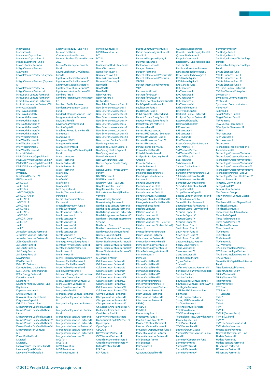Innovacom 5 Innovacom 6 Innovation Capital Fund I Innovation Capital Fund II iNovia Investment Fund II Inroads Capital Partners InSight Venture Partners (Cayman) II InSight Venture Partners (Cayman) III ...<br>InSight Venture Partners (Cayman) IV InSight Venture Partners V InSight Venture Partners VI Institutional Venture Partners III Institutional Venture Partners V Institutional Venture Partners X Institutional Venture Partners XIII Inter-Asia Capital II Inter-Asia Capital II Inter-Asia Capital IV Intersouth Partners I **Intersouth Partners I Intersouth Partners IV** Intersouth Partners V Intersouth Partners VI Intersouth Partners VII InterWest Partners II InterWest Partners III InterWest Partners IV InterWest Partners V InterWest Partners VI Invercat Exterior INVESCO Private Capital Fund I INVESCO Private Capital Fund II-A INVESCO Private Capital Fund II-B INVESCO Private Capital Fund III Investec Invision IV Israel Seed Partners IV ITU Ventures III JAFCO G-3 JAFCO G-4 JAFCO G-5 JAFCO G-6(A)(B)  $IAFCO G-7(A)/B$ JAFCO No 1 JAFCO No 2 JAFCO No 3 JAFCO No 5 JAFCO No 6 JAFCO R-3 JAFCO R1(A)(B) JAFCO R2 **JAVP** JAVP 2 Jerusalem Venture Partners I Jerusalem Venture Partners II Jerusalem Venture Partners IV JK&B Capital I and II **JMI Equity Fund III** JMI Equity Fund IV JMI Equity Fund V JMI Equity Fund VI KBA Partners KBA Partners II Kelso ASI Partners Kentucky Seed Capital Fund KERN Energy Partners Fund II KERN Energy Partners I Kettle Partners II Keystone IV Keystone Minority Capital Fund Keystone V Keystone Ventures II Khosla Ventures III Khosla Ventures Seed Fund Kitty Hawk Capital III KKR China Growth Fund Kleiner Perkins Caufield & Byers II Kleiner Perkins Caufield & Byers II Ann Kleiner Perkins Caufield & Byers III Kleiner Perkins Caufield & Byers III Kleiner Perkins Caufield & Byers V Kleiner Perkins Caufield & Byers VI Kleinwort Benson Ventures KLP Korea IT M&A Fund L Capital 1 L Capital 2 Latin America Enterprise Fund II Lawrence Tyrrell Ortale Lawrence Tyrrell Ortale II

Leaf Private Equity Fund No. 1 Lehman Brothers Communications Partners Lehman Brothers Venture Partners 2003 Lereko Metier Capital Growth Fund Levine Leichtman CP California Growth Lighthouse Capital Partners III Lighthouse Capital Partners IV Lighthouse Capital Partners VI Lightspeed Venture Partners VI Lightspeed Venture Partners VII Lombard Asia III Lombard Asian Private Investment Co Lombard Pacific Partners London Development Capital Fund London Enterprise Venture Fund Longitude Venture Partners Louisiana Fund I Loyalhanna Venture Fund Lumira Capital I Maghreb Private Equity Fund II Mangrove II Mangrove III Mangrove NTVC I Marquette Venture I Marquette Venture II Martinson Trigon Venture Capital Fund Materia Ventures Matrix Partners II Matrix Partners III Matrix Partners IV Matrix Partners V Mayfield IV Mayfield V Mayfield VI Mayfield VII Mayfield VIII MCB Equity Fund Media / Communications Partners II Media / Communications Partners VI Medical Innovation Fund II Menlo Evergreen V Menlo Venture Partners Menlo Ventures III Menlo Ventures IV Menlo Ventures IX Menlo Ventures VI Menlo Ventures VII Menlo Ventures VIII Menlo Ventures X Meritage Private Equity Fund Meritage Private Equity Fund II Meritage Private Equity Fund III Meritech Capital Partners IV Merlin Nexus II Merlin Nexus III Merrill Pickard Anderson & Eyre V Mesirow Capital Partners III Mesirow Capital Partners V Miami Valley Venture Fund Middlewest Ventures II Midland Montagu Investissement Midlands Growth Fund Mobius Technology Ventures VI Mohr Davidow Ventures III Mohr Davidow Ventures IV Morgan Holland II Morgan Stanley Venture Partners II Morgan Stanley Venture Partners III Morgan Stanley Venture Partners IV Morgan Stanley Ventures Capital Fund Morgenthaler Venture Partners II Morgenthaler Venture Partners III Morgenthaler Venture Partners IV Morgenthaler Venture Partners VI Morgenthaler Venture Partners VII Morgenthaler Venture Partners VIII Morgenthaler Ventures IX  $MOST$  5-1 MOST 5-2 MPM BioVentures I MPM BioVentures II MPM BioVentures III

MTI MTI III MTI IV Multinational Industrial Fund Nauta Tech Invest I Nauta Tech Invest II Nauta Tech Invest III Nazem & Company II Nazem & Company III NeoMed II NeoMed III NeoMed IV NEPA Venture I NEPA Venture II Nestor 2000 New Atlantic Venture Fund III New Enterprise Associates I New Enterprise Associates II New Enterprise Associates III **New Enterprise Associates IV** New Enterprise Associates IX New Enterprise Associates V New Enterprise Associates VI New Enterprise Associates X New Enterprise Associates XII New Enterprise Associates XIII New Horizon Capital Fund III NewMargin Partners I NewSpring Growth Capital II NewSpring Health Capital II NewSpring Ventures Newtek Ventures II Next Wave Partners Fund I ext wave runtitiers runta r<br>exxus Capital Private Equity Fund III Nexxus Capital Private Equity Fund V NGEN Partners II NGEN Partners III Nitzanim Fund (1993) Ltd. Nogales Investors Fund I Nogales Investors Fund II Nokia Ventures Fund (Blue Run Venture) Noro-Moseley Partners I Noro-Moseley Partners II North Bridge Venture Partners I North Bridge Venture Partners II North Bridge Venture Partners IV North Bridge Venture Partners V North West Business Investment Scheme Northcoast Fund Northern Investment Company Northwest Ohio Venture Fund Norwest Equity Capital Novak Biddle Venture Partners I Novak Biddle Venture Partners II Novak Biddle Venture Partners III Novak Biddle Venture Partners IV Novak Biddle Venture Partners V Nth Power IV O'Donnell & Masur Oak Investment Partners II Oak Investment Partners III Oak Investment Partners IV Oak Investment Partners IX Oak Investment Partners V Oak Investment Partners VIII Oak Investment Partners X Oak Investment Partners XI Oak Investment Partners XII Oak Investment Partners XIII Olympic Venture Partners II Olympic Venture Partners III Olympic Venture Partners IV Olympic Venture Partners V On Capital China Fund Series A On Capital China Fund Series B One Liberty Fund III OpenView Venture Partners Opportunity Capital Partners IV Opus Capital I Opus Capital II OSCCO III OVP Venture Partners VI OVP Venture Partners VII Oxford Bioscience Partners III Oxford Bioscience Partners IV Oxford Venture Fund III P/A Fund P/A Fund III

MPM BioVentures IV MPM BioVentures V

Pacific Community Ventures II Pacific Community Ventures III Paladin III Palamon European Equity II Palomar Ventures II Par Innovation Fund I Paragon Partners Paragon Partners II Partech International Ventures IV Partech International Ventures V FCPR Partech International Ventures V LP Partners for Growth Partners for Growth II Partners for Growth III Pathfinder Venture Capital Fund III Paul Capital Healthcare III Paul Royalty Fund I Paul Royalty Fund II PCG Corporate Partners Fund Pequot Private Equity Fund III Pequot Private Equity Fund IV Pequot Venture Partners II Periscope Fund I Permira France Venture I ramman ramas ramases.<br>Permira U.K. Venture I Exte Permira UK Venture Fund III Permira UK Venture Fund IV Permira UK Venture I Perseus Soros Bio Pharm Pharos Capital Fund I Philadelphia Ventures II Phillips-Smith Specialty Retail Group III Phoenix Partners Phoenix Partners II Phoenix Partners III Pine Brook Road Partners I PineBridge Latin America Partners II Pinnacle Equity Fund I Pinnacle Venture Debt I Pinnacle Venture Debt II Pinnacle Venture Debt III Pioneer Ventures Associates Pitango Venture Capital Fund III Pitango Venture Capital Fund IV Pittsburgh Seed Fund Pittsford Ventures I Pittsford Ventures II **Pittsford Ventures II** Pittsford Ventures IVa Pittsford Ventures IVb (Helvetia) Pittsford Ventures IVc (Maple Leaf) Plenus II Plymouth Venture Partners I Polaris Venture Partners Polaris Venture Partners IV Prelude Technology Fund II Prime Technology Ventures I Prime Technology Ventures II Prime Technology Ventures III Prime Ventures II Prime VIII Primus Capital Fund I Primus Capital Fund II Primus Capital Fund III Primus Capital Fund IV Primus Capital Fund V Primus Capital Fund VI Prince Venture Partners I Prince Venture Partners III Princeton/Montrose Partners Prism Venture Partners I Prism Venture Partners II Prism Venture Partners III Prism Venture Partners IV PRIVEQ I PRIVEQ II PRIVEO III Productivity Fund I Productivity Fund II ProQuest Investments IV Prospect Venture Partners II Prospect Venture Partners III Provender Opportunities Fund II Prudential Venture Partners Prudential Venture Partners II PTV Sciences Annex PTV Sciences I PTV Sciences II Puma I Quadrant Capital Fund I

Quadrant Capital Fund II Quaestus Private Equity Kapital Quaker BioVentures II edpoint Ventures II Regional VC Fund Yorkshire and The Humber Rembrandt Venture Partners Renaissance Technologies 2 Renaissance Technologies 3 RFG Private Equity 1 RFG Private Equity 2 Rho Canada Fund RHO Ventures I RHO Ventures II RHO Ventures III RHO Ventures IV RHO Ventures V RHO Ventures VI Richland Ventures I Riverwood Capital I Rockport Capital Partners II Rockport Capital Partners III Rosewood Capital IV Rosewood Capital V RRE Ventures I RRE Ventures II RRE Ventures III RRZ PA Fund I Rust Ventures Rustic Canyon/Fontis Partners SAIF Partners IV Sail Venture Partners Sail Venture Partners II Salix Affiliates II Salix Ventures I Salix Ventures II Samara Capital Fund I Sanderling IV Sanderling Venture Partners VI SB Asia Investment Fund II SB Asia Investment Fund III Schroder UK Venture Fund Schroder UK Venture Fund II Scope Growth II Scope Venture Capital I Second London Enterprise Fund Sention Kasvurahasto Sequel Limited Partnership II Sequel Limited Partnership III Sequoia Capital Growth Fund Sequoia Capital III Sequoia Capital IV Sequoia Capital V Sequoia Capital VI Sevin Rosen Fund I Sevin Rosen Fund II Sevin Rosen Fund III Sevin Rosen Fund IV Sevin Rosen Fund VIII Shawmut Equity Partners Sherry Lane Partners Sierra Ventures III Sierra Ventures IV Sierra Ventures VIII Sightline Healthcare I Sigma Partners II Skyline III Sofinnova Venture Partners VII Softbank China Venture Capital III Solstice Capital I Solstice Capital II South Atlantic Venture Fund II South West Ventures Fund (SWVF) Southgate Partners SPEF Pre-IPO European Fund Spinnaker Sports Capital Partners Spring Mill Venture Fund StarVest Partners II Star vest runners ...<br>Sterling Venture Partr STIC Korea Global IT STIC Korea Integrated-Technologies New Growth Engine Private Equity Fund STIC Pioneer Fund STIC Pioneer Fund II Stratus Growth Capital Summit Partners Venture Capital Fund II Summit V Companion Fund Summit Ventures Summit Ventures II Summit Ventures IV Summit Ventures V

Summit Ventures VI SunBridge Fund I SunBridge Fund II unBridge Partners Technology Fund III Sustainable Energy Technology Fund SV Life Sciences Fund I SV Life Sciences Fund II SV Life Sciences Fund III SV Life Sciences Fund IV SV Life Sciences Fund V SVB India Capital Partners I SVE Star Venture Enterprise II Swedestart II Syndicated Communications Ventures II Syndicated Communications Ventures V Tallwood II Target Partners Fund I Target Partners Fund II TBF Romania TCW Special Placement II TCW Special Placement III TDH II Tech Ventures I Tech Ventures II Tech Ventures III Technocom Technologies for Information & Entertainment III Technology Crossover Ventures Technology Crossover Ventures II Technology Crossover Ventures III Technology Crossover Ventures IV Technology Crossover Ventures VI Technology Crossover Ventures VII Technology Partners Fund VI Technology Partners West Fund IV Telecom Partners II Tembusu Growth Fund Tenaya Capital V Terra Venture Partners The Column Group The NorthWest Venture Capital Fund The Second Brown Shipley Fund Third Rock Ventures Third Rock Ventures II Thompson Clive International Three Arch Capital Three Arch Partners III Three Arch Partners IV Timberline Ventures Tirant Inversion TL Ventures TL Ventures II TL Ventures III TL Ventures IV TMT Ventures TPG Biotechnology Partners TPG Biotechnology Partners II TPG Biotechnology Partners III TPG Ventures Transatlantic Capital Bio-Sciences Fund Triathlon Medical Ventures Trident Capital Fund V Trinity Ventures IX Trinity Ventures VIII True Ventures True Ventures II TTP Fund TTP Fund II TTP Ventures I  $TVI - 2$  $TVI - 3$  $TVI - 4$ TVM I TVM II TVM III (German Fund) TVM III (US Fund) TVM IV TVM Life Science Venture VI TVM Medical Ventures Union Square Venture United Utilities Venture Fund upper unique su<br>Undata Partners II Updata Partners IV Updata Venture Partners II US Venture Partners II

US Venture Partners III US Venture Partners IV